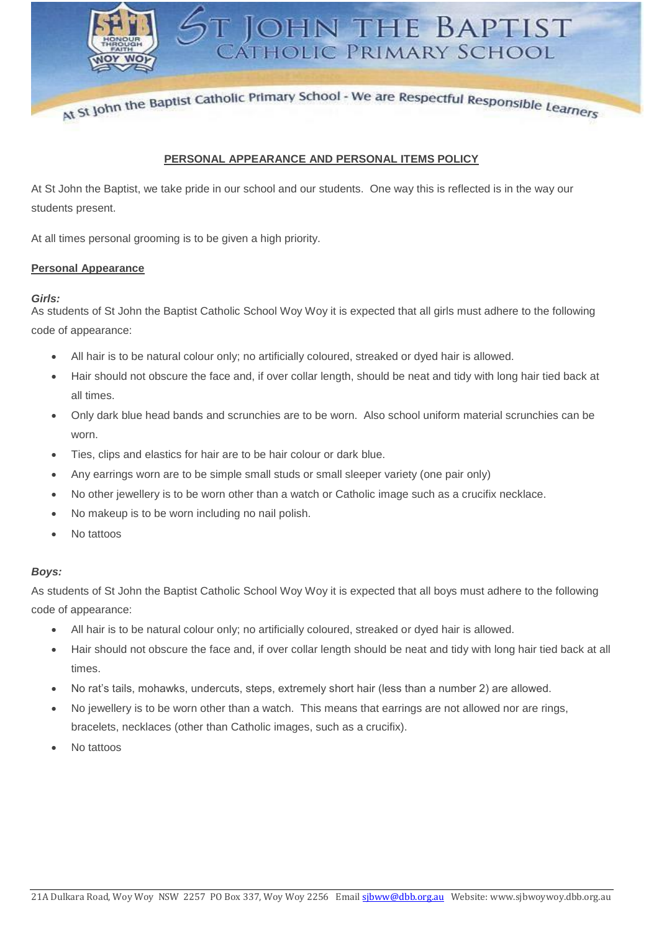At St John the Baptist Catholic Primary School - We are Respectful Responsible Learners

**JOHN THE BAPTIST** 

CÁTHOLIC PRIMARY SCHOOL

## **PERSONAL APPEARANCE AND PERSONAL ITEMS POLICY**

At St John the Baptist, we take pride in our school and our students. One way this is reflected is in the way our students present.

At all times personal grooming is to be given a high priority.

## **Personal Appearance**

## *Girls:*

As students of St John the Baptist Catholic School Woy Woy it is expected that all girls must adhere to the following code of appearance:

- All hair is to be natural colour only; no artificially coloured, streaked or dyed hair is allowed.
- Hair should not obscure the face and, if over collar length, should be neat and tidy with long hair tied back at all times.
- Only dark blue head bands and scrunchies are to be worn. Also school uniform material scrunchies can be worn.
- Ties, clips and elastics for hair are to be hair colour or dark blue.
- Any earrings worn are to be simple small studs or small sleeper variety (one pair only)
- No other jewellery is to be worn other than a watch or Catholic image such as a crucifix necklace.
- No makeup is to be worn including no nail polish.
- No tattoos

# *Boys:*

As students of St John the Baptist Catholic School Woy Woy it is expected that all boys must adhere to the following code of appearance:

- All hair is to be natural colour only; no artificially coloured, streaked or dyed hair is allowed.
- Hair should not obscure the face and, if over collar length should be neat and tidy with long hair tied back at all times.
- No rat's tails, mohawks, undercuts, steps, extremely short hair (less than a number 2) are allowed.
- No jewellery is to be worn other than a watch. This means that earrings are not allowed nor are rings, bracelets, necklaces (other than Catholic images, such as a crucifix).
- No tattoos